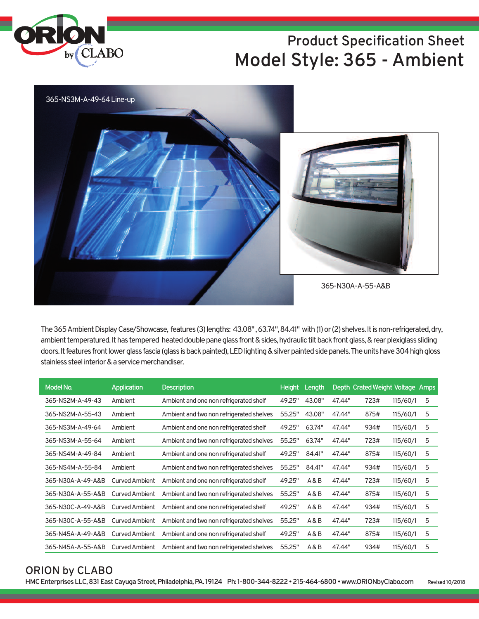

# **Product Specification Sheet Model Style: 365 - Ambient**



The 365 Ambient Display Case/Showcase, features (3) lengths: 43.08", 63.74", 84.41" with (1) or (2) shelves. It is non-refrigerated, dry, ambient temperatured. It has tempered heated double pane glass front & sides, hydraulic tilt back front glass, & rear plexiglass sliding doors. It features front lower glass fascia (glass is back painted), LED lighting & silver painted side panels. The units have 304 high gloss stainless steel interior & a service merchandiser.

| Model No.         | Application           | <b>Description</b>                       | <b>Height</b> | Length |        | Depth Crated Weight Voltage Amps |          |   |
|-------------------|-----------------------|------------------------------------------|---------------|--------|--------|----------------------------------|----------|---|
| 365-NS2M-A-49-43  | Ambient               | Ambient and one non refrigerated shelf   | 49.25"        | 43.08" | 47.44" | 723#                             | 115/60/1 | 5 |
| 365-NS2M-A-55-43  | Ambient               | Ambient and two non refrigerated shelves | 55.25"        | 43.08" | 47.44" | 875#                             | 115/60/1 | 5 |
| 365-NS3M-A-49-64  | Ambient               | Ambient and one non refrigerated shelf   | 49.25"        | 63.74" | 47.44" | 934#                             | 115/60/1 | 5 |
| 365-NS3M-A-55-64  | Ambient               | Ambient and two non refrigerated shelves | 55.25"        | 63.74" | 47.44" | 723#                             | 115/60/1 | 5 |
| 365-NS4M-A-49-84  | Ambient               | Ambient and one non refrigerated shelf   | 49.25"        | 84.41" | 47.44" | 875#                             | 115/60/1 | 5 |
| 365-NS4M-A-55-84  | Ambient               | Ambient and two non refrigerated shelves | 55.25"        | 84.41" | 47.44" | 934#                             | 115/60/1 | 5 |
| 365-N30A-A-49-A&B | Curved Ambient        | Ambient and one non refrigerated shelf   | 49.25"        | A&B    | 47.44" | 723#                             | 115/60/1 | 5 |
| 365-N30A-A-55-A&B | Curved Ambient        | Ambient and two non refrigerated shelves | 55.25"        | A&B    | 47.44" | 875#                             | 115/60/1 | 5 |
| 365-N30C-A-49-A&B | Curved Ambient        | Ambient and one non refrigerated shelf   | 49.25"        | A&B    | 47.44" | 934#                             | 115/60/1 | 5 |
| 365-N30C-A-55-A&B | <b>Curved Ambient</b> | Ambient and two non refrigerated shelves | 55.25"        | A & B  | 47.44" | 723#                             | 115/60/1 | 5 |
| 365-N45A-A-49-A&B | <b>Curved Ambient</b> | Ambient and one non refrigerated shelf   | 49.25"        | A & B  | 47.44" | 875#                             | 115/60/1 | 5 |
| 365-N45A-A-55-A&B | Curved Ambient        | Ambient and two non refrigerated shelves | 55.25"        | A & B  | 47.44" | 934#                             | 115/60/1 | 5 |

## **ORION by CLABO**

**HMCEnterprisesLLC,831EastCayugaStreet,Philadelphia,PA. 19124 Ph: 1-800-344-8222•215-464-6800•www.ORIONbyClabo.com Revised10/2018**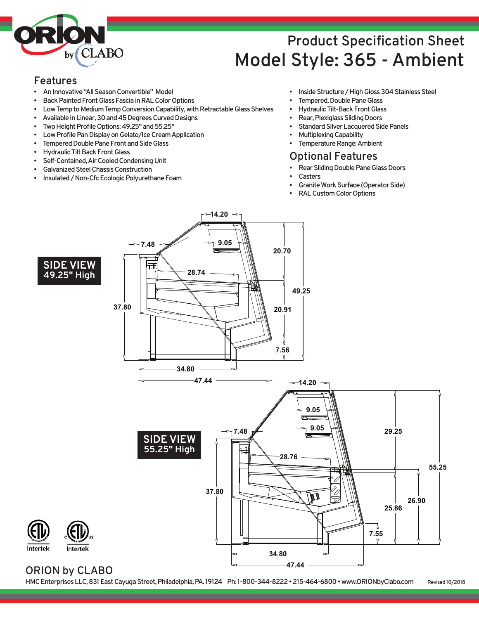

# **Product Specification Sheet Model Style: 365 - Ambient**

#### **Features**

- **AnInnovative"AllSeasonConvertible" Model**
- **Back Painted Front Glass Fascia in RAL Color Options**
- **Low Temp to Medium Temp Conversion Capability, with Retractable Glass Shelves**
- Available in Linear, 30 and 45 Degrees Curved Designs
- Two Height Profile Options: 49.25" and 55.25"
- **Low Profile Pan Display on Gelato/Ice Cream Application**
- **Tempered Double Pane Front and Side Glass**
- **Hydraulic Tilt Back Front Glass**
- **Self-Contained,AirCooledCondensingUnit**
- **GalvanizedSteelChassisConstruction**
- **Insulated/Non-CfcEcologicPolyurethaneFoam**
- **Inside Structure / High Gloss 304 Stainless Steel**
- **Tempered, Double Pane Glass**
- **Hydraulic Tilt-Back Front Glass**
- **Rear, Plexiglass Sliding Doors**
- **Standard Silver Lacquered Side Panels**
- **MultiplexingCapability**
- **Femperature Range: Ambient**

### **Optional Features**

- **Rear Sliding Double Pane Glass Doors** 
	- **Casters**
- **Granite Work Surface (Operator Side)**
- **RALCustomColorOptions**



**14.20**

### **ORION by CLABO**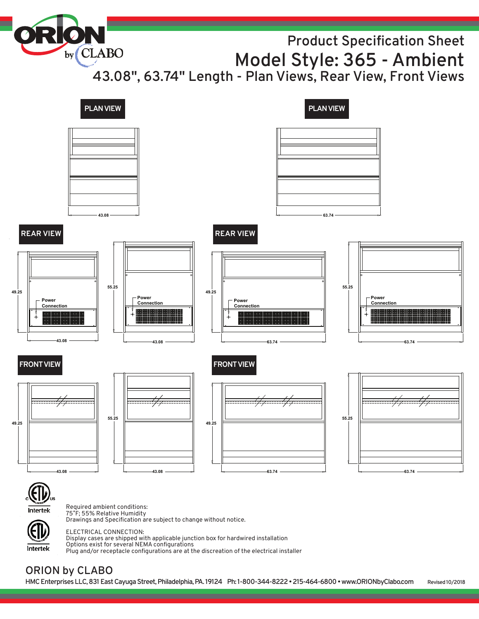**Product Specification Sheet Model Style: 365 - Ambient**

**43.08" , 63.74" Length - Plan Views, Rear View, Front Views**



Intertek

ELECTRICAL CONNECTION: Display cases are shipped with applicable junction box for hardwired installation Options exist for several NEMA configurations Plug and/or receptacle configurations are at the discreation of the electrical installer

# **ORION by CLABO**

by CLABO

**HMCEnterprisesLLC,831EastCayugaStreet,Philadelphia,PA. 19124 Ph: 1-800-344-8222•215-464-6800•www.ORIONbyClabo.com Revised10/2018**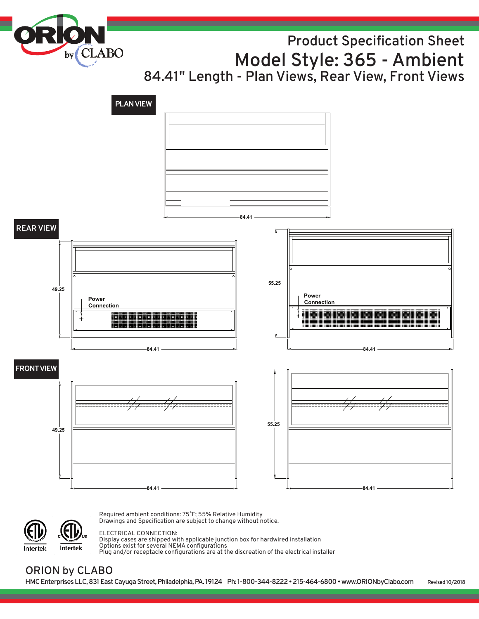by<sub>(CLABO</sub>

# **Product Specification Sheet Model Style: 365 - Ambient 84.41" Length - Plan Views, Rear View, Front Views**



Intertek Intertek Required ambient conditions: 75˚F; 55% Relative Humidity Drawings and Specification are subject to change without notice.

#### ELECTRICAL CONNECTION:

Display cases are shipped with applicable junction box for hardwired installation Options exist for several NEMA configurations Plug and/or receptacle configurations are at the discreation of the electrical installer

## **ORION by CLABO**